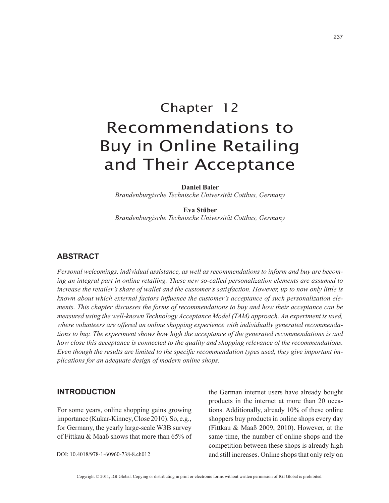# Chapter 12 Recommendations to Buy in Online Retailing and Their Acceptance

**Daniel Baier**

*Brandenburgische Technische Universität Cottbus, Germany*

**Eva Stüber** *Brandenburgische Technische Universität Cottbus, Germany*

### **ABSTRACT**

*Personal welcomings, individual assistance, as well as recommendations to inform and buy are becoming an integral part in online retailing. These new so-called personalization elements are assumed to increase the retailer's share of wallet and the customer's satisfaction. However, up to now only little is known about which external factors influence the customer's acceptance of such personalization elements. This chapter discusses the forms of recommendations to buy and how their acceptance can be measured using the well-known Technology Acceptance Model (TAM) approach. An experiment is used, where volunteers are offered an online shopping experience with individually generated recommendations to buy. The experiment shows how high the acceptance of the generated recommendations is and how close this acceptance is connected to the quality and shopping relevance of the recommendations. Even though the results are limited to the specific recommendation types used, they give important implications for an adequate design of modern online shops.*

### **INTRODUCTION**

For some years, online shopping gains growing importance (Kukar-Kinney, Close 2010). So, e.g., for Germany, the yearly large-scale W3B survey of Fittkau & Maaß shows that more than 65% of the German internet users have already bought products in the internet at more than 20 occations. Additionally, already 10% of these online shoppers buy products in online shops every day (Fittkau & Maaß 2009, 2010). However, at the same time, the number of online shops and the competition between these shops is already high and still increases. Online shops that only rely on

DOI: 10.4018/978-1-60960-738-8.ch012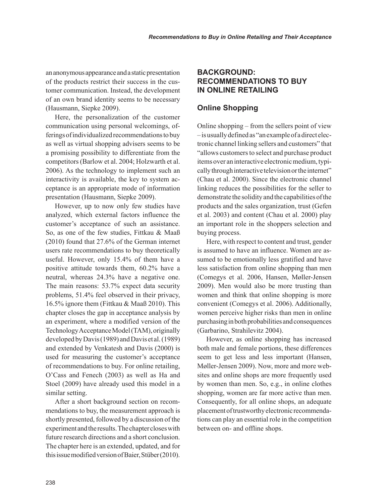an anonymous appearance and a static presentation of the products restrict their success in the customer communication. Instead, the development of an own brand identity seems to be necessary (Hausmann, Siepke 2009).

Here, the personalization of the customer communication using personal welcomings, offerings of individualized recommendations to buy as well as virtual shopping advisers seems to be a promising possibility to differentiate from the competitors (Barlow et al. 2004; Holzwarth et al. 2006). As the technology to implement such an interactivity is available, the key to system acceptance is an appropriate mode of information presentation (Hausmann, Siepke 2009).

However, up to now only few studies have analyzed, which external factors influence the customer's acceptance of such an assistance. So, as one of the few studies, Fittkau & Maaß (2010) found that 27.6% of the German internet users rate recommendations to buy theoretically useful. However, only 15.4% of them have a positive attitude towards them, 60.2% have a neutral, whereas 24.3% have a negative one. The main reasons: 53.7% expect data security problems, 51.4% feel observed in their privacy, 16.5% ignore them (Fittkau & Maaß 2010). This chapter closes the gap in acceptance analysis by an experiment, where a modified version of the Technology Acceptance Model (TAM), originally developed by Davis (1989) and Davis et al. (1989) and extended by Venkatesh and Davis (2000) is used for measuring the customer's acceptance of recommendations to buy. For online retailing, O'Cass and Fenech (2003) as well as Ha and Stoel (2009) have already used this model in a similar setting.

After a short background section on recommendations to buy, the measurement approach is shortly presented, followed by a discussion of the experiment and the results. The chapter closes with future research directions and a short conclusion. The chapter here is an extended, updated, and for this issue modified version of Baier, Stüber (2010).

# **BACKGROUND: RECOMMENDATIONS TO BUY IN ONLINE RETAILING**

# **Online Shopping**

Online shopping – from the sellers point of view – is usually defined as "an example of a direct electronic channel linking sellers and customers" that "allows customers to select and purchase product items over an interactive electronic medium, typically through interactive television or the internet" (Chau et al. 2000). Since the electronic channel linking reduces the possibilities for the seller to demonstrate the solidity and the capabilities of the products and the sales organization, trust (Gefen et al. 2003) and content (Chau et al. 2000) play an important role in the shoppers selection and buying process.

Here, with respect to content and trust, gender is assumed to have an influence. Women are assumed to be emotionally less gratified and have less satisfaction from online shopping than men (Comegys et al. 2006, Hansen, Møller-Jensen 2009). Men would also be more trusting than women and think that online shopping is more convenient (Comegys et al. 2006). Additionally, women perceive higher risks than men in online purchasing in both probabilities and consequences (Garbarino, Strahilevitz 2004).

However, as online shopping has increased both male and female portions, these differences seem to get less and less important (Hansen, Møller-Jensen 2009). Now, more and more websites and online shops are more frequently used by women than men. So, e.g., in online clothes shopping, women are far more active than men. Consequently, for all online shops, an adequate placement of trustworthy electronic recommendations can play an essential role in the competition between on- and offline shops.